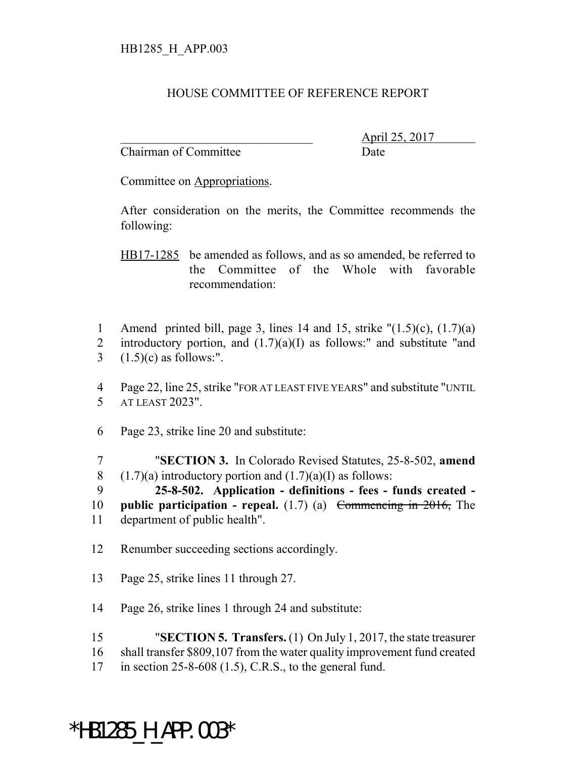## HOUSE COMMITTEE OF REFERENCE REPORT

Chairman of Committee Date

\_\_\_\_\_\_\_\_\_\_\_\_\_\_\_\_\_\_\_\_\_\_\_\_\_\_\_\_\_\_\_ April 25, 2017

Committee on Appropriations.

After consideration on the merits, the Committee recommends the following:

HB17-1285 be amended as follows, and as so amended, be referred to the Committee of the Whole with favorable recommendation:

1 Amend printed bill, page 3, lines 14 and 15, strike "(1.5)(c), (1.7)(a)

2 introductory portion, and  $(1.7)(a)(I)$  as follows:" and substitute "and 3  $(1.5)(c)$  as follows:".

4 Page 22, line 25, strike "FOR AT LEAST FIVE YEARS" and substitute "UNTIL 5 AT LEAST 2023".

6 Page 23, strike line 20 and substitute:

7 "**SECTION 3.** In Colorado Revised Statutes, 25-8-502, **amend** 8 (1.7)(a) introductory portion and  $(1.7)(a)(I)$  as follows:

9 **25-8-502. Application - definitions - fees - funds created -** 10 **public participation - repeal.** (1.7) (a) Commencing in 2016, The 11 department of public health".

- 12 Renumber succeeding sections accordingly.
- 13 Page 25, strike lines 11 through 27.
- 14 Page 26, strike lines 1 through 24 and substitute:

15 "**SECTION 5. Transfers.** (1) On July 1, 2017, the state treasurer 16 shall transfer \$809,107 from the water quality improvement fund created

17 in section 25-8-608 (1.5), C.R.S., to the general fund.

## \*HB1285\_H\_APP.003\*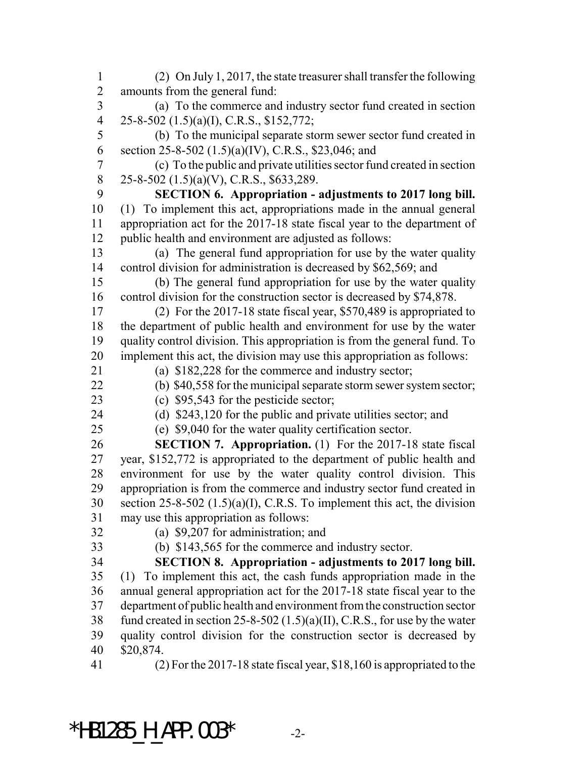(2) On July 1, 2017, the state treasurer shall transfer the following amounts from the general fund: (a) To the commerce and industry sector fund created in section 25-8-502 (1.5)(a)(I), C.R.S., \$152,772; (b) To the municipal separate storm sewer sector fund created in 6 section 25-8-502  $(1.5)(a)(IV)$ , C.R.S., \$23,046; and (c) To the public and private utilities sector fund created in section 25-8-502 (1.5)(a)(V), C.R.S., \$633,289. **SECTION 6. Appropriation - adjustments to 2017 long bill.** (1) To implement this act, appropriations made in the annual general appropriation act for the 2017-18 state fiscal year to the department of public health and environment are adjusted as follows: (a) The general fund appropriation for use by the water quality control division for administration is decreased by \$62,569; and (b) The general fund appropriation for use by the water quality control division for the construction sector is decreased by \$74,878. (2) For the 2017-18 state fiscal year, \$570,489 is appropriated to the department of public health and environment for use by the water quality control division. This appropriation is from the general fund. To implement this act, the division may use this appropriation as follows: (a) \$182,228 for the commerce and industry sector; (b) \$40,558 for the municipal separate storm sewer system sector; (c) \$95,543 for the pesticide sector; (d) \$243,120 for the public and private utilities sector; and (e) \$9,040 for the water quality certification sector. **SECTION 7. Appropriation.** (1) For the 2017-18 state fiscal year, \$152,772 is appropriated to the department of public health and environment for use by the water quality control division. This appropriation is from the commerce and industry sector fund created in 30 section 25-8-502  $(1.5)(a)(I)$ , C.R.S. To implement this act, the division may use this appropriation as follows: (a) \$9,207 for administration; and (b) \$143,565 for the commerce and industry sector. **SECTION 8. Appropriation - adjustments to 2017 long bill.** (1) To implement this act, the cash funds appropriation made in the annual general appropriation act for the 2017-18 state fiscal year to the department of public health and environment from the construction sector 38 fund created in section 25-8-502  $(1.5)(a)(II)$ , C.R.S., for use by the water quality control division for the construction sector is decreased by \$20,874. (2) For the 2017-18 state fiscal year, \$18,160 is appropriated to the

\*HB1285 H APP.003\*  $-2$ -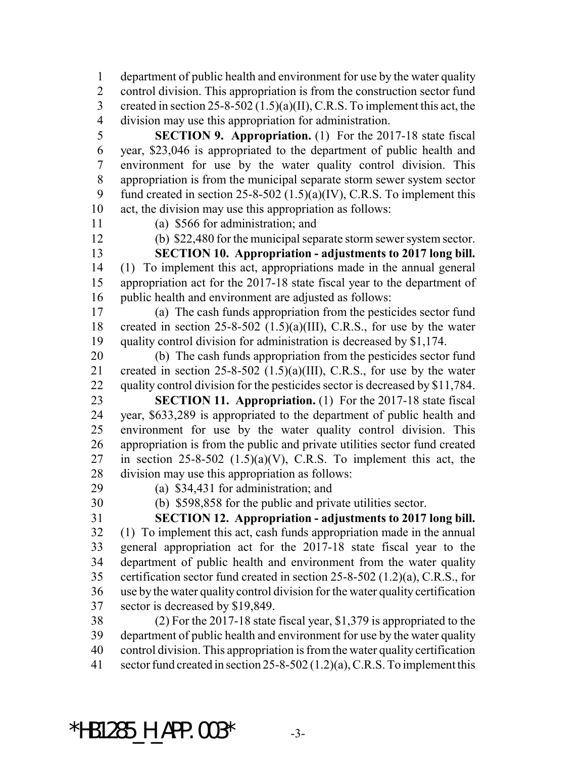department of public health and environment for use by the water quality control division. This appropriation is from the construction sector fund 3 created in section  $25-8-502$  (1.5)(a)(II), C.R.S. To implement this act, the division may use this appropriation for administration.

 **SECTION 9. Appropriation.** (1) For the 2017-18 state fiscal year, \$23,046 is appropriated to the department of public health and environment for use by the water quality control division. This appropriation is from the municipal separate storm sewer system sector fund created in section 25-8-502 (1.5)(a)(IV), C.R.S. To implement this act, the division may use this appropriation as follows:

(a) \$566 for administration; and

(b) \$22,480 for the municipal separate storm sewer system sector.

 **SECTION 10. Appropriation - adjustments to 2017 long bill.** (1) To implement this act, appropriations made in the annual general appropriation act for the 2017-18 state fiscal year to the department of public health and environment are adjusted as follows:

 (a) The cash funds appropriation from the pesticides sector fund created in section 25-8-502 (1.5)(a)(III), C.R.S., for use by the water quality control division for administration is decreased by \$1,174.

 (b) The cash funds appropriation from the pesticides sector fund 21 created in section  $25-8-502$  (1.5)(a)(III), C.R.S., for use by the water 22 quality control division for the pesticides sector is decreased by \$11,784.

 **SECTION 11. Appropriation.** (1) For the 2017-18 state fiscal year, \$633,289 is appropriated to the department of public health and environment for use by the water quality control division. This appropriation is from the public and private utilities sector fund created 27 in section  $25-8-502$   $(1.5)(a)(V)$ , C.R.S. To implement this act, the division may use this appropriation as follows:

(a) \$34,431 for administration; and

(b) \$598,858 for the public and private utilities sector.

 **SECTION 12. Appropriation - adjustments to 2017 long bill.** (1) To implement this act, cash funds appropriation made in the annual general appropriation act for the 2017-18 state fiscal year to the department of public health and environment from the water quality certification sector fund created in section 25-8-502 (1.2)(a), C.R.S., for use by the water quality control division for the water quality certification sector is decreased by \$19,849.

 (2) For the 2017-18 state fiscal year, \$1,379 is appropriated to the department of public health and environment for use by the water quality control division. This appropriation is from the water quality certification sector fund created in section 25-8-502 (1.2)(a), C.R.S. To implement this

\*HB1285 H APP.003\*  $-3$ -